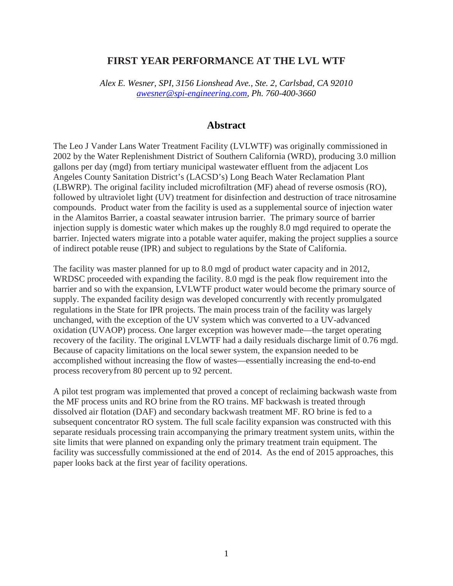### **FIRST YEAR PERFORMANCE AT THE LVL WTF**

*Alex E. Wesner, SPI, 3156 Lionshead Ave., Ste. 2, Carlsbad, CA 92010 [awesner@spi-engineering.com,](mailto:awesner@spi-engineering.com) Ph. 760-400-3660*

### **Abstract**

The Leo J Vander Lans Water Treatment Facility (LVLWTF) was originally commissioned in 2002 by the Water Replenishment District of Southern California (WRD), producing 3.0 million gallons per day (mgd) from tertiary municipal wastewater effluent from the adjacent Los Angeles County Sanitation District's (LACSD's) Long Beach Water Reclamation Plant (LBWRP). The original facility included microfiltration (MF) ahead of reverse osmosis (RO), followed by ultraviolet light (UV) treatment for disinfection and destruction of trace nitrosamine compounds. Product water from the facility is used as a supplemental source of injection water in the Alamitos Barrier, a coastal seawater intrusion barrier. The primary source of barrier injection supply is domestic water which makes up the roughly 8.0 mgd required to operate the barrier. Injected waters migrate into a potable water aquifer, making the project supplies a source of indirect potable reuse (IPR) and subject to regulations by the State of California.

The facility was master planned for up to 8.0 mgd of product water capacity and in 2012, WRDSC proceeded with expanding the facility. 8.0 mgd is the peak flow requirement into the barrier and so with the expansion, LVLWTF product water would become the primary source of supply. The expanded facility design was developed concurrently with recently promulgated regulations in the State for IPR projects. The main process train of the facility was largely unchanged, with the exception of the UV system which was converted to a UV-advanced oxidation (UVAOP) process. One larger exception was however made—the target operating recovery of the facility. The original LVLWTF had a daily residuals discharge limit of 0.76 mgd. Because of capacity limitations on the local sewer system, the expansion needed to be accomplished without increasing the flow of wastes—essentially increasing the end-to-end process recoveryfrom 80 percent up to 92 percent.

A pilot test program was implemented that proved a concept of reclaiming backwash waste from the MF process units and RO brine from the RO trains. MF backwash is treated through dissolved air flotation (DAF) and secondary backwash treatment MF. RO brine is fed to a subsequent concentrator RO system. The full scale facility expansion was constructed with this separate residuals processing train accompanying the primary treatment system units, within the site limits that were planned on expanding only the primary treatment train equipment. The facility was successfully commissioned at the end of 2014. As the end of 2015 approaches, this paper looks back at the first year of facility operations.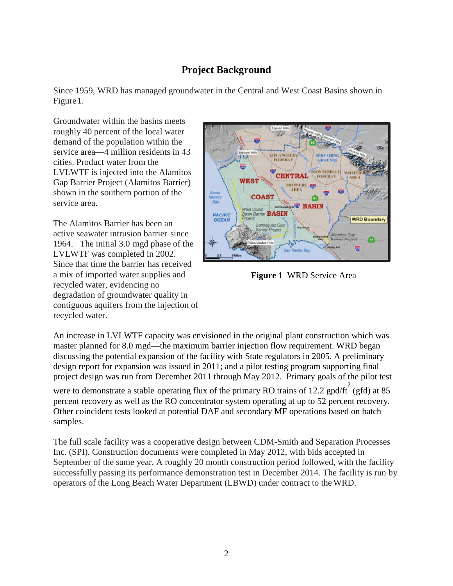# **Project Background**

Since 1959, WRD has managed groundwater in the Central and West Coast Basins shown in Figure1.

Groundwater within the basins meets roughly 40 percent of the local water demand of the population within the service area—4 million residents in 43 cities. Product water from the LVLWTF is injected into the Alamitos Gap Barrier Project (Alamitos Barrier) shown in the southern portion of the service area.

The Alamitos Barrier has been an active seawater intrusion barrier since 1964. The initial 3.0 mgd phase of the LVLWTF was completed in 2002. Since that time the barrier has received a mix of imported water supplies and recycled water, evidencing no degradation of groundwater quality in contiguous aquifers from the injection of recycled water.



**Figure 1** WRD Service Area

An increase in LVLWTF capacity was envisioned in the original plant construction which was master planned for 8.0 mgd—the maximum barrier injection flow requirement. WRD began discussing the potential expansion of the facility with State regulators in 2005. A preliminary design report for expansion was issued in 2011; and a pilot testing program supporting final project design was run from December 2011 through May 2012. Primary goals of the pilot test

were to demonstrate a stable operating flux of the primary RO trains of 12.2 gpd/ft $\int_{0}^{2}$  (gfd) at 85 percent recovery as well as the RO concentrator system operating at up to 52 percent recovery. Other coincident tests looked at potential DAF and secondary MF operations based on batch samples.

The full scale facility was a cooperative design between CDM-Smith and Separation Processes Inc. (SPI). Construction documents were completed in May 2012, with bids accepted in September of the same year. A roughly 20 month construction period followed, with the facility successfully passing its performance demonstration test in December 2014. The facility is run by operators of the Long Beach Water Department (LBWD) under contract to theWRD.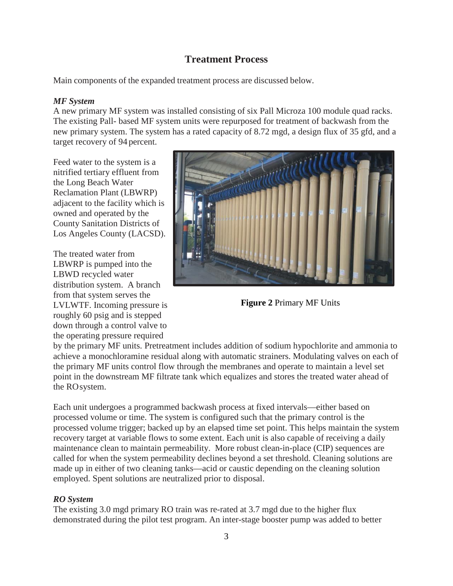## **Treatment Process**

Main components of the expanded treatment process are discussed below.

### *MF System*

A new primary MF system was installed consisting of six Pall Microza 100 module quad racks. The existing Pall- based MF system units were repurposed for treatment of backwash from the new primary system. The system has a rated capacity of 8.72 mgd, a design flux of 35 gfd, and a target recovery of 94 percent.

Feed water to the system is a nitrified tertiary effluent from the Long Beach Water Reclamation Plant (LBWRP) adjacent to the facility which is owned and operated by the County Sanitation Districts of Los Angeles County (LACSD).

The treated water from LBWRP is pumped into the LBWD recycled water distribution system. A branch from that system serves the LVLWTF. Incoming pressure is roughly 60 psig and is stepped down through a control valve to the operating pressure required



**Figure 2** Primary MF Units

by the primary MF units. Pretreatment includes addition of sodium hypochlorite and ammonia to achieve a monochloramine residual along with automatic strainers. Modulating valves on each of the primary MF units control flow through the membranes and operate to maintain a level set point in the downstream MF filtrate tank which equalizes and stores the treated water ahead of the ROsystem.

Each unit undergoes a programmed backwash process at fixed intervals—either based on processed volume or time. The system is configured such that the primary control is the processed volume trigger; backed up by an elapsed time set point. This helps maintain the system recovery target at variable flows to some extent. Each unit is also capable of receiving a daily maintenance clean to maintain permeability. More robust clean-in-place (CIP) sequences are called for when the system permeability declines beyond a set threshold. Cleaning solutions are made up in either of two cleaning tanks—acid or caustic depending on the cleaning solution employed. Spent solutions are neutralized prior to disposal.

### *RO System*

The existing 3.0 mgd primary RO train was re-rated at 3.7 mgd due to the higher flux demonstrated during the pilot test program. An inter-stage booster pump was added to better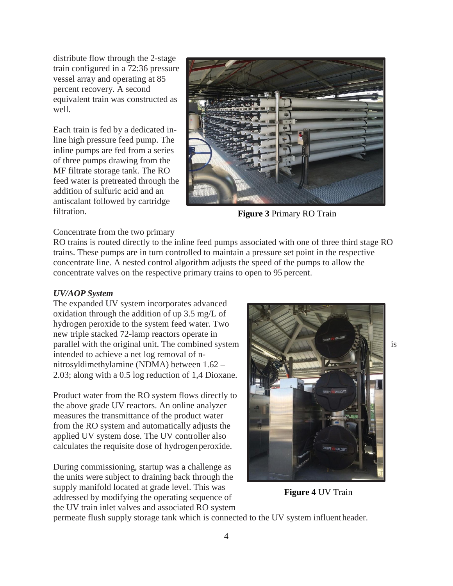distribute flow through the 2-stage train configured in a 72:36 pressure vessel array and operating at 85 percent recovery. A second equivalent train was constructed as well.

Each train is fed by a dedicated inline high pressure feed pump. The inline pumps are fed from a series of three pumps drawing from the MF filtrate storage tank. The RO feed water is pretreated through the addition of sulfuric acid and an antiscalant followed by cartridge filtration.



**Figure 3** Primary RO Train

#### Concentrate from the two primary

RO trains is routed directly to the inline feed pumps associated with one of three third stage RO trains. These pumps are in turn controlled to maintain a pressure set point in the respective concentrate line. A nested control algorithm adjusts the speed of the pumps to allow the concentrate valves on the respective primary trains to open to 95 percent.

#### *UV/AOP System*

The expanded UV system incorporates advanced oxidation through the addition of up 3.5 mg/L of hydrogen peroxide to the system feed water. Two new triple stacked 72-lamp reactors operate in parallel with the original unit. The combined system  $\Box$  is is intended to achieve a net log removal of nnitrosyldimethylamine (NDMA) between 1.62 – 2.03; along with a 0.5 log reduction of 1,4 Dioxane.

Product water from the RO system flows directly to the above grade UV reactors. An online analyzer measures the transmittance of the product water from the RO system and automatically adjusts the applied UV system dose. The UV controller also calculates the requisite dose of hydrogenperoxide.

During commissioning, startup was a challenge as the units were subject to draining back through the supply manifold located at grade level. This was addressed by modifying the operating sequence of the UV train inlet valves and associated RO system



**Figure 4** UV Train

permeate flush supply storage tank which is connected to the UV system influentheader.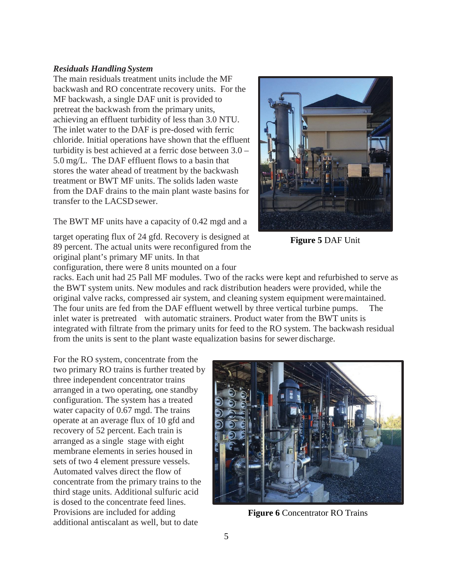#### *Residuals Handling System*

The main residuals treatment units include the MF backwash and RO concentrate recovery units. For the MF backwash, a single DAF unit is provided to pretreat the backwash from the primary units, achieving an effluent turbidity of less than 3.0 NTU. The inlet water to the DAF is pre-dosed with ferric chloride. Initial operations have shown that the effluent turbidity is best achieved at a ferric dose between 3.0 – 5.0 mg/L. The DAF effluent flows to a basin that stores the water ahead of treatment by the backwash treatment or BWT MF units. The solids laden waste from the DAF drains to the main plant waste basins for transfer to the LACSDsewer.



target operating flux of 24 gfd. Recovery is designed at 89 percent. The actual units were reconfigured from the original plant's primary MF units. In that configuration, there were 8 units mounted on a four

**Figure 5** DAF Unit

racks. Each unit had 25 Pall MF modules. Two of the racks were kept and refurbished to serve as the BWT system units. New modules and rack distribution headers were provided, while the original valve racks, compressed air system, and cleaning system equipment weremaintained. The four units are fed from the DAF effluent wetwell by three vertical turbine pumps. The inlet water is pretreated with automatic strainers. Product water from the BWT units is integrated with filtrate from the primary units for feed to the RO system. The backwash residual from the units is sent to the plant waste equalization basins for sewer discharge.

For the RO system, concentrate from the two primary RO trains is further treated by three independent concentrator trains arranged in a two operating, one standby configuration. The system has a treated water capacity of 0.67 mgd. The trains operate at an average flux of 10 gfd and recovery of 52 percent. Each train is arranged as a single stage with eight membrane elements in series housed in sets of two 4 element pressure vessels. Automated valves direct the flow of concentrate from the primary trains to the third stage units. Additional sulfuric acid is dosed to the concentrate feed lines. Provisions are included for adding additional antiscalant as well, but to date



**Figure 6** Concentrator RO Trains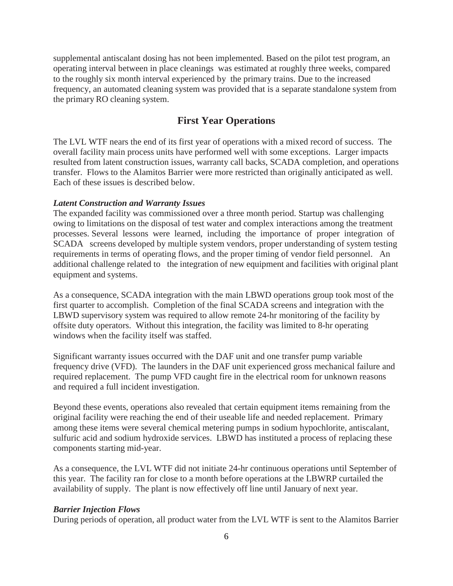supplemental antiscalant dosing has not been implemented. Based on the pilot test program, an operating interval between in place cleanings was estimated at roughly three weeks, compared to the roughly six month interval experienced by the primary trains. Due to the increased frequency, an automated cleaning system was provided that is a separate standalone system from the primary RO cleaning system.

### **First Year Operations**

The LVL WTF nears the end of its first year of operations with a mixed record of success. The overall facility main process units have performed well with some exceptions. Larger impacts resulted from latent construction issues, warranty call backs, SCADA completion, and operations transfer. Flows to the Alamitos Barrier were more restricted than originally anticipated as well. Each of these issues is described below.

#### *Latent Construction and Warranty Issues*

The expanded facility was commissioned over a three month period. Startup was challenging owing to limitations on the disposal of test water and complex interactions among the treatment processes. Several lessons were learned, including the importance of proper integration of SCADA screens developed by multiple system vendors, proper understanding of system testing requirements in terms of operating flows, and the proper timing of vendor field personnel. An additional challenge related to the integration of new equipment and facilities with original plant equipment and systems.

As a consequence, SCADA integration with the main LBWD operations group took most of the first quarter to accomplish. Completion of the final SCADA screens and integration with the LBWD supervisory system was required to allow remote 24-hr monitoring of the facility by offsite duty operators. Without this integration, the facility was limited to 8-hr operating windows when the facility itself was staffed.

Significant warranty issues occurred with the DAF unit and one transfer pump variable frequency drive (VFD). The launders in the DAF unit experienced gross mechanical failure and required replacement. The pump VFD caught fire in the electrical room for unknown reasons and required a full incident investigation.

Beyond these events, operations also revealed that certain equipment items remaining from the original facility were reaching the end of their useable life and needed replacement. Primary among these items were several chemical metering pumps in sodium hypochlorite, antiscalant, sulfuric acid and sodium hydroxide services. LBWD has instituted a process of replacing these components starting mid-year.

As a consequence, the LVL WTF did not initiate 24-hr continuous operations until September of this year. The facility ran for close to a month before operations at the LBWRP curtailed the availability of supply. The plant is now effectively off line until January of next year.

#### *Barrier Injection Flows*

During periods of operation, all product water from the LVL WTF is sent to the Alamitos Barrier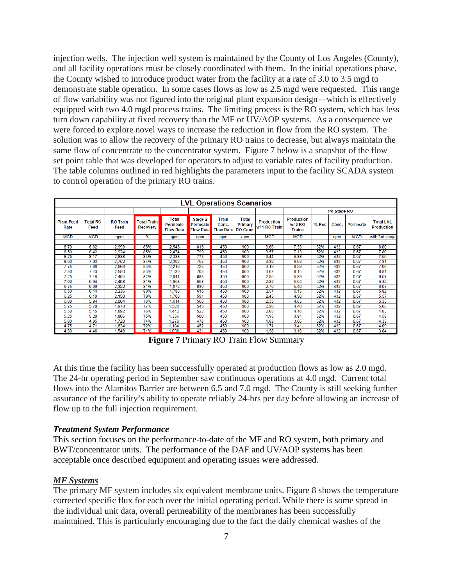injection wells. The injection well system is maintained by the County of Los Angeles (County), and all facility operations must be closely coordinated with them. In the initial operations phase, the County wished to introduce product water from the facility at a rate of 3.0 to 3.5 mgd to demonstrate stable operation. In some cases flows as low as 2.5 mgd were requested. This range of flow variability was not figured into the original plant expansion design—which is effectively equipped with two 4.0 mgd process trains. The limiting process is the RO system, which has less turn down capability at fixed recovery than the MF or UV/AOP systems. As a consequence we were forced to explore novel ways to increase the reduction in flow from the RO system. The solution was to allow the recovery of the primary RO trains to decrease, but always maintain the same flow of concentrate to the concentrator system. Figure 7 below is a snapshot of the flow set point table that was developed for operators to adjust to variable rates of facility production. The table columns outlined in red highlights the parameters input to the facility SCADA system to control operation of the primary RO trains.

| <b>LVL Operations Scenarios</b> |                         |                         |                                |                                              |                                         |                                    |                                     |                             |                                                |              |       |            |                                       |
|---------------------------------|-------------------------|-------------------------|--------------------------------|----------------------------------------------|-----------------------------------------|------------------------------------|-------------------------------------|-----------------------------|------------------------------------------------|--------------|-------|------------|---------------------------------------|
|                                 |                         |                         |                                |                                              |                                         |                                    |                                     |                             |                                                |              |       |            |                                       |
|                                 |                         |                         |                                |                                              |                                         |                                    |                                     |                             |                                                | 3rd Stage RO |       |            |                                       |
| <b>Plant Feed</b><br>Rate       | <b>Total RO</b><br>Feed | <b>RO Train</b><br>Feed | Total Train<br><b>Recovery</b> | <b>Total</b><br>Permeate<br><b>Flow Rate</b> | Stage 2<br>Permeate<br><b>Flow Rate</b> | Train<br>Conc.<br><b>Flow Rate</b> | <b>Total</b><br>Primary<br>RO Conc. | Production<br>w/ 1 RO Train | <b>Production</b><br>$W/2$ RO<br><b>Trains</b> | % Rec        | Conc. | Permeate   | <b>Total LVL</b><br><b>Production</b> |
| <b>MGD</b>                      | <b>MGD</b>              | qpm                     | %                              | qpm                                          | qpm                                     | qpm                                | qpm                                 | <b>MGD</b>                  | <b>MGD</b>                                     |              | qpm   | <b>MGD</b> | with 3rd stage                        |
|                                 |                         |                         |                                |                                              |                                         |                                    |                                     |                             |                                                |              |       |            |                                       |
| 8.70                            | 8.62                    | 2,993                   | 85%                            | 2,543                                        | 815                                     | 450                                | 900                                 | 3.66                        | 7.33                                           | 52%          | 432   | 0.67       | 8.00                                  |
| 8.50                            | 8.42                    | 2,924                   | 85%                            | 2,474                                        | 799                                     | 450                                | 900                                 | 3.57                        | 7.13                                           | 52%          | 432   | 0.67       | 7.80                                  |
| 8.25                            | 8.17                    | 2,838                   | 84%                            | 2,388                                        | 773                                     | 450                                | 900                                 | 3.44                        | 6.88                                           | 52%          | 432   | 0.67       | 7.56                                  |
| 8.00                            | 7.93                    | 2,752                   | 84%                            | 2,302                                        | 753                                     | 450                                | 900                                 | 3.32                        | 6.63                                           | 52%          | 432   | 0.67       | 7.31                                  |
| 7.75                            | 7.68                    | 2,666                   | 83%                            | 2,216                                        | 728                                     | 450                                | 900                                 | 3.19                        | 6.39                                           | 52%          | 432   | 0.67       | 7.06                                  |
| 7.50                            | 7.43                    | 2,580                   | 83%                            | 2,130                                        | 708                                     | 450                                | 900                                 | 3.07                        | 6.14                                           | 52%          | 432   | 0.67       | 6.81                                  |
| 7.25                            | 7.18                    | 2,494                   | 82%                            | 2,044                                        | 683                                     | 450                                | 900                                 | 2.95                        | 5.89                                           | 52%          | 432   | 0.67       | 6.57                                  |
| 7.00                            | 6.94                    | 2.408                   | 81%                            | 1.958                                        | 658                                     | 450                                | 900                                 | 2.82                        | 5.64                                           | 52%          | 432   | 0.67       | 6.32                                  |
| 6.75                            | 6.69                    | 2,322                   | 81%                            | 1.872                                        | 639                                     | 450                                | 900                                 | 2.70                        | 5.40                                           | 52%          | 432   | 0.67       | 6.07                                  |
| 6.50                            | 6.44                    | 2,236                   | 80%                            | 1,786                                        | 615                                     | 450                                | 900                                 | 2.57                        | 5.15                                           | 52%          | 432   | 0.67       | 5.82                                  |
| 6.25                            | 6.19                    | 2.150                   | 79%                            | 1,700                                        | 591                                     | 450                                | 900                                 | 2.45                        | 4.90                                           | 52%          | 432   | 0.67       | 5.57                                  |
| 6.00                            | 5.94                    | 2.064                   | 78%                            | 1.614                                        | 568                                     | 450                                | 900                                 | 2.33                        | 4.65                                           | 52%          | 432   | 0.67       | 5.33                                  |
| 5.75                            | 5.70                    | 1,978                   | 77%                            | 1,528                                        | 545                                     | 450                                | 900                                 | 2.20                        | 4.40                                           | 52%          | 432   | 0.67       | 5.08                                  |
| 5.50                            | 5.45                    | 1,892                   | 76%                            | .442                                         | 522                                     | 450                                | 900                                 | 2.08                        | 4.16                                           | 52%          | 432   | 0.67       | 4.83                                  |
| 5.25                            | 5.20                    | 1,806                   | 75%                            | 1.356                                        | 500                                     | 450                                | 900                                 | 1.95                        | 3.91                                           | 52%          | 432   | 0.67       | 4.58                                  |
| 5.00                            | 4.95                    | 1,720                   | 74%                            | .270                                         | 478                                     | 450                                | 900                                 | 1.83                        | 3.66                                           | 52%          | 432   | 0.67       | 4.33                                  |
| 4.75                            | 4.71                    | .634                    | 72%                            | 1,184                                        | 452                                     | 450                                | 900                                 | 1.71                        | 3.41                                           | 52%          | 432   | 0.67       | 4.09                                  |
| 4.50                            | 4.46                    | 1.548                   | 71%                            | 1.098                                        | 431                                     | 450                                | 900                                 | 1.58                        | 3.16                                           | 52%          | 432   | 0.67       | 3.84                                  |

**Figure 7** Primary RO Train Flow Summary

At this time the facility has been successfully operated at production flows as low as 2.0 mgd. The 24-hr operating period in September saw continuous operations at 4.0 mgd. Current total flows into the Alamitos Barrier are between 6.5 and 7.0 mgd. The County is still seeking further assurance of the facility's ability to operate reliably 24-hrs per day before allowing an increase of flow up to the full injection requirement.

#### *Treatment System Performance*

This section focuses on the performance-to-date of the MF and RO system, both primary and BWT/concentrator units. The performance of the DAF and UV/AOP systems has been acceptable once described equipment and operating issues were addressed.

#### *MF Systems*

The primary MF system includes six equivalent membrane units. Figure 8 shows the temperature corrected specific flux for each over the initial operating period. While there is some spread in the individual unit data, overall permeability of the membranes has been successfully maintained. This is particularly encouraging due to the fact the daily chemical washes of the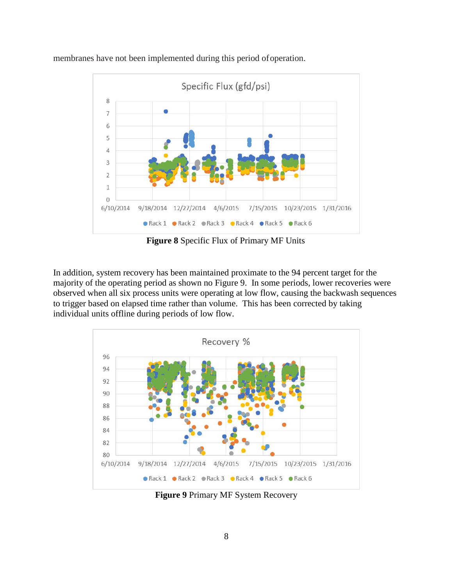

membranes have not been implemented during this period ofoperation.

**Figure 8** Specific Flux of Primary MF Units

In addition, system recovery has been maintained proximate to the 94 percent target for the majority of the operating period as shown no Figure 9. In some periods, lower recoveries were observed when all six process units were operating at low flow, causing the backwash sequences to trigger based on elapsed time rather than volume. This has been corrected by taking individual units offline during periods of low flow.



**Figure 9** Primary MF System Recovery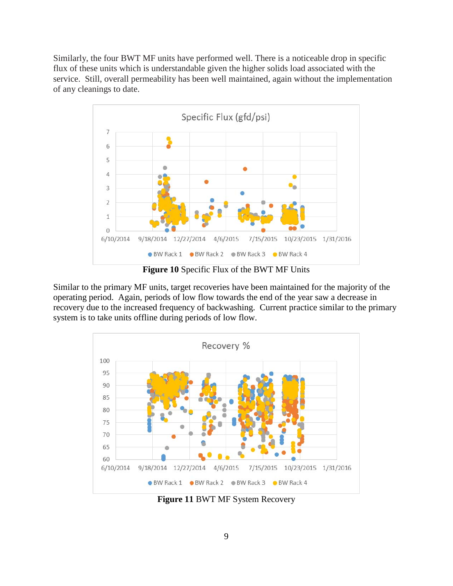Similarly, the four BWT MF units have performed well. There is a noticeable drop in specific flux of these units which is understandable given the higher solids load associated with the service. Still, overall permeability has been well maintained, again without the implementation of any cleanings to date.



**Figure 10** Specific Flux of the BWT MF Units

Similar to the primary MF units, target recoveries have been maintained for the majority of the operating period. Again, periods of low flow towards the end of the year saw a decrease in recovery due to the increased frequency of backwashing. Current practice similar to the primary system is to take units offline during periods of low flow.



**Figure 11** BWT MF System Recovery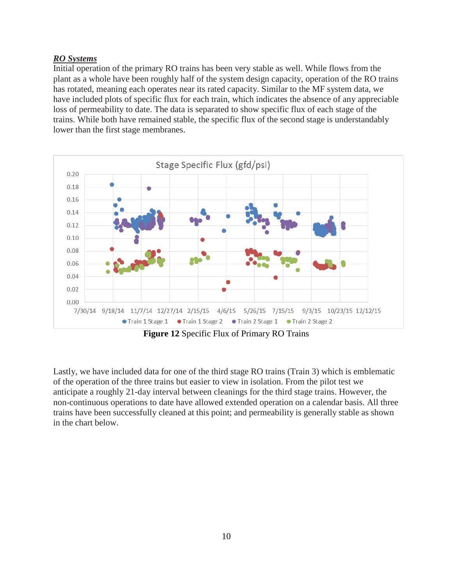### *RO Systems*

Initial operation of the primary RO trains has been very stable as well. While flows from the plant as a whole have been roughly half of the system design capacity, operation of the RO trains has rotated, meaning each operates near its rated capacity. Similar to the MF system data, we have included plots of specific flux for each train, which indicates the absence of any appreciable loss of permeability to date. The data is separated to show specific flux of each stage of the trains. While both have remained stable, the specific flux of the second stage is understandably lower than the first stage membranes.



**Figure 12** Specific Flux of Primary RO Trains

Lastly, we have included data for one of the third stage RO trains (Train 3) which is emblematic of the operation of the three trains but easier to view in isolation. From the pilot test we anticipate a roughly 21-day interval between cleanings for the third stage trains. However, the non-continuous operations to date have allowed extended operation on a calendar basis. All three trains have been successfully cleaned at this point; and permeability is generally stable as shown in the chart below.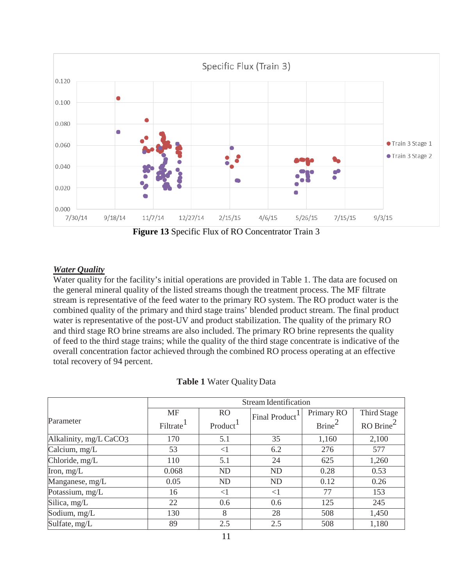

**Figure 13** Specific Flux of RO Concentrator Train 3

### *Water Quality*

Water quality for the facility's initial operations are provided in Table 1. The data are focused on the general mineral quality of the listed streams though the treatment process. The MF filtrate stream is representative of the feed water to the primary RO system. The RO product water is the combined quality of the primary and third stage trains' blended product stream. The final product water is representative of the post-UV and product stabilization. The quality of the primary RO and third stage RO brine streams are also included. The primary RO brine represents the quality of feed to the third stage trains; while the quality of the third stage concentrate is indicative of the overall concentration factor achieved through the combined RO process operating at an effective total recovery of 94 percent.

|                        | <b>Stream Identification</b> |                      |                            |                    |                                                 |  |  |  |
|------------------------|------------------------------|----------------------|----------------------------|--------------------|-------------------------------------------------|--|--|--|
|                        | <b>MF</b>                    | R <sub>O</sub>       | Final Product <sup>1</sup> | Primary RO         | Third Stage                                     |  |  |  |
| Parameter              | Filtrate <sup>1</sup>        | Product <sup>1</sup> |                            | Brine <sup>2</sup> | $RO$ Brine <sup><math>\overline{ }</math></sup> |  |  |  |
| Alkalinity, mg/L CaCO3 | 170                          | 5.1                  | 35                         | 1,160              | 2,100                                           |  |  |  |
| Calcium, mg/L          | 53                           | $\leq$               | 6.2                        | 276                | 577                                             |  |  |  |
| Chloride, mg/L         | 110                          | 5.1                  | 24                         | 625                | 1,260                                           |  |  |  |
| Iron, $mg/L$           | 0.068                        | <b>ND</b>            | <b>ND</b>                  | 0.28               | 0.53                                            |  |  |  |
| Manganese, mg/L        | 0.05                         | <b>ND</b>            | <b>ND</b>                  | 0.12               | 0.26                                            |  |  |  |
| Potassium, mg/L        | 16                           | $\leq$ 1             | $<$ 1                      | 77                 | 153                                             |  |  |  |
| Silica, mg/L           | 22                           | 0.6                  | 0.6                        | 125                | 245                                             |  |  |  |
| Sodium, mg/L           | 130                          | 8                    | 28                         | 508                | 1,450                                           |  |  |  |
| Sulfate, mg/L          | 89                           | 2.5                  | 2.5                        | 508                | 1,180                                           |  |  |  |